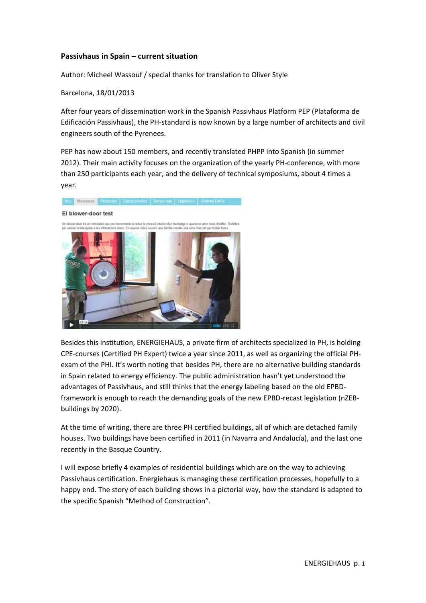## **Passivhaus in Spain – current situation**

Author: Micheel Wassouf / special thanks for translation to Oliver Style

Barcelona, 18/01/2013

After four years of dissemination work in the Spanish Passivhaus Platform PEP (Plataforma de Edificación Passivhaus), the PH‐standard is now known by a large number of architects and civil engineers south of the Pyrenees.

PEP has now about 150 members, and recently translated PHPP into Spanish (in summer 2012). Their main activity focuses on the organization of the yearly PH‐conference, with more than 250 participants each year, and the delivery of technical symposiums, about 4 times a year.



Besides this institution, ENERGIEHAUS, a private firm of architects specialized in PH, is holding CPE‐courses (Certified PH Expert) twice a year since 2011, as well as organizing the official PH‐ exam of the PHI. It's worth noting that besides PH, there are no alternative building standards in Spain related to energy efficiency. The public administration hasn't yet understood the advantages of Passivhaus, and still thinks that the energy labeling based on the old EPBD‐ framework is enough to reach the demanding goals of the new EPBD-recast legislation (nZEBbuildings by 2020).

At the time of writing, there are three PH certified buildings, all of which are detached family houses. Two buildings have been certified in 2011 (in Navarra and Andalucía), and the last one recently in the Basque Country.

I will expose briefly 4 examples of residential buildings which are on the way to achieving Passivhaus certification. Energiehaus is managing these certification processes, hopefully to a happy end. The story of each building shows in a pictorial way, how the standard is adapted to the specific Spanish "Method of Construction".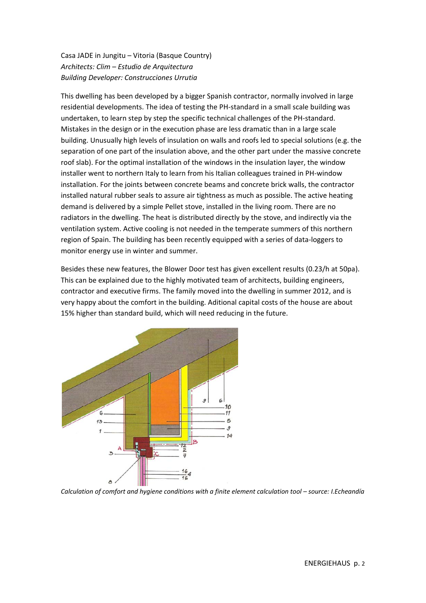Casa JADE in Jungitu – Vitoria (Basque Country) *Architects: Clim – Estudio de Arquitectura Building Developer: Construcciones Urrutia*

This dwelling has been developed by a bigger Spanish contractor, normally involved in large residential developments. The idea of testing the PH‐standard in a small scale building was undertaken, to learn step by step the specific technical challenges of the PH‐standard. Mistakes in the design or in the execution phase are less dramatic than in a large scale building. Unusually high levels of insulation on walls and roofs led to special solutions (e.g. the separation of one part of the insulation above, and the other part under the massive concrete roof slab). For the optimal installation of the windows in the insulation layer, the window installer went to northern Italy to learn from his Italian colleagues trained in PH-window installation. For the joints between concrete beams and concrete brick walls, the contractor installed natural rubber seals to assure air tightness as much as possible. The active heating demand is delivered by a simple Pellet stove, installed in the living room. There are no radiators in the dwelling. The heat is distributed directly by the stove, and indirectly via the ventilation system. Active cooling is not needed in the temperate summers of this northern region of Spain. The building has been recently equipped with a series of data‐loggers to monitor energy use in winter and summer.

Besides these new features, the Blower Door test has given excellent results (0.23/h at 50pa). This can be explained due to the highly motivated team of architects, building engineers, contractor and executive firms. The family moved into the dwelling in summer 2012, and is very happy about the comfort in the building. Aditional capital costs of the house are about 15% higher than standard build, which will need reducing in the future.



*Calculation of comfort and hygiene conditions with a finite element calculation tool – source: I.Echeandía*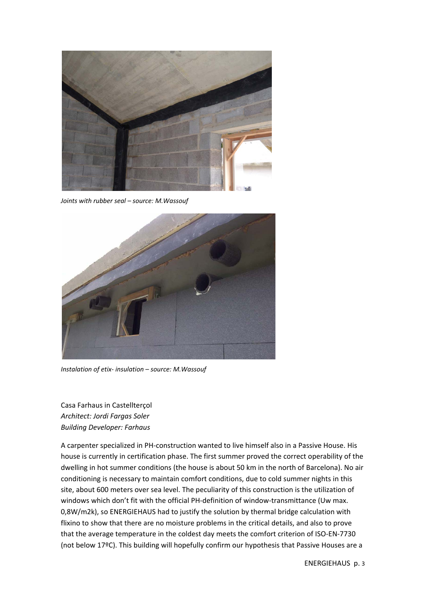

*Joints with rubber seal – source: M.Wassouf*



*Instalation of etix‐ insulation – source: M.Wassouf*

Casa Farhaus in Castellterçol *Architect: Jordi Fargas Soler Building Developer: Farhaus*

A carpenter specialized in PH‐construction wanted to live himself also in a Passive House. His house is currently in certification phase. The first summer proved the correct operability of the dwelling in hot summer conditions (the house is about 50 km in the north of Barcelona). No air conditioning is necessary to maintain comfort conditions, due to cold summer nights in this site, about 600 meters over sea level. The peculiarity of this construction is the utilization of windows which don't fit with the official PH-definition of window-transmittance (Uw max. 0,8W/m2k), so ENERGIEHAUS had to justify the solution by thermal bridge calculation with flixino to show that there are no moisture problems in the critical details, and also to prove that the average temperature in the coldest day meets the comfort criterion of ISO‐EN‐7730 (not below 17ºC). This building will hopefully confirm our hypothesis that Passive Houses are a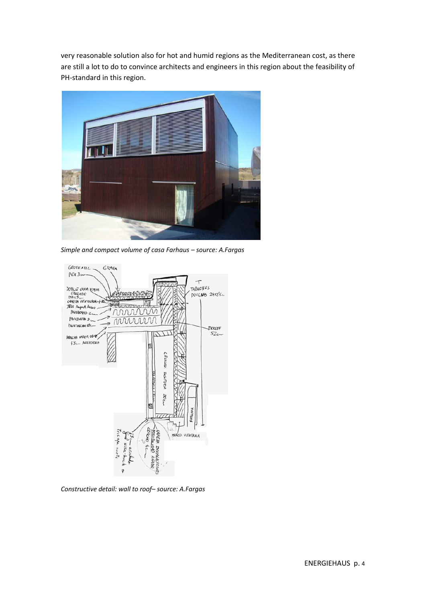very reasonable solution also for hot and humid regions as the Mediterranean cost, as there are still a lot to do to convince architects and engineers in this region about the feasibility of PH-standard in this region.



*Simple and compact volume of casa Farhaus – source: A.Fargas*



*Constructive detail: wall to roof– source: A.Fargas*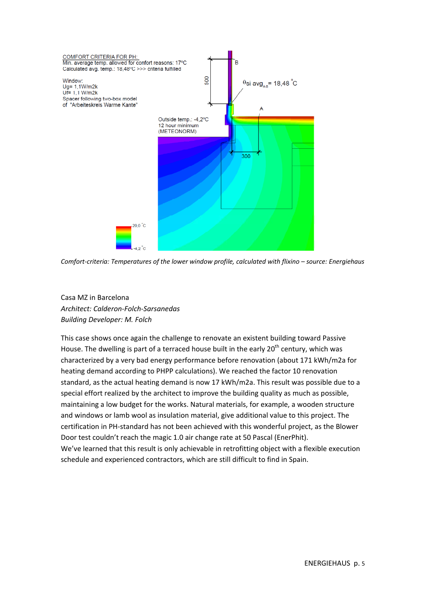

*Comfort‐criteria: Temperatures of the lower window profile, calculated with flixino – source: Energiehaus*

Casa MZ in Barcelona *Architect: Calderon‐Folch‐Sarsanedas Building Developer: M. Folch*

This case shows once again the challenge to renovate an existent building toward Passive House. The dwelling is part of a terraced house built in the early  $20<sup>th</sup>$  century, which was characterized by a very bad energy performance before renovation (about 171 kWh/m2a for heating demand according to PHPP calculations). We reached the factor 10 renovation standard, as the actual heating demand is now 17 kWh/m2a. This result was possible due to a special effort realized by the architect to improve the building quality as much as possible, maintaining a low budget for the works. Natural materials, for example, a wooden structure and windows or lamb wool as insulation material, give additional value to this project. The certification in PH‐standard has not been achieved with this wonderful project, as the Blower Door test couldn't reach the magic 1.0 air change rate at 50 Pascal (EnerPhit). We've learned that this result is only achievable in retrofitting object with a flexible execution schedule and experienced contractors, which are still difficult to find in Spain.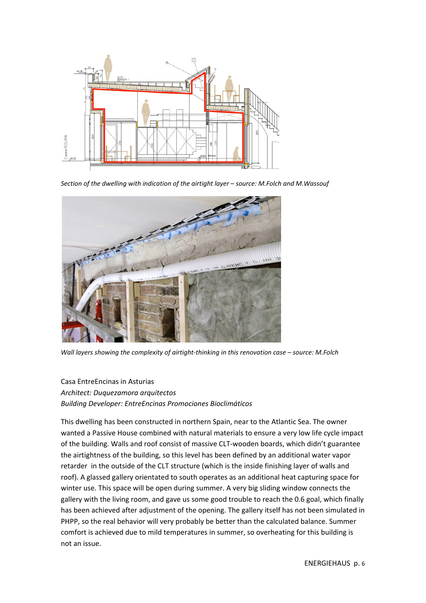

*Section of the dwelling with indication of the airtight layer – source: M.Folch and M.Wassouf*



*Wall layers showing the complexity of airtight‐thinking in this renovation case – source: M.Folch*

## Casa EntreEncinas in Asturias

*Architect: Duquezamora arquitectos Building Developer: EntreEncinas Promociones Bioclimáticos*

This dwelling has been constructed in northern Spain, near to the Atlantic Sea. The owner wanted a Passive House combined with natural materials to ensure a very low life cycle impact of the building. Walls and roof consist of massive CLT‐wooden boards, which didn't guarantee the airtightness of the building, so this level has been defined by an additional water vapor retarder in the outside of the CLT structure (which is the inside finishing layer of walls and roof). A glassed gallery orientated to south operates as an additional heat capturing space for winter use. This space will be open during summer. A very big sliding window connects the gallery with the living room, and gave us some good trouble to reach the 0.6 goal, which finally has been achieved after adjustment of the opening. The gallery itself has not been simulated in PHPP, so the real behavior will very probably be better than the calculated balance. Summer comfort is achieved due to mild temperatures in summer, so overheating for this building is not an issue.